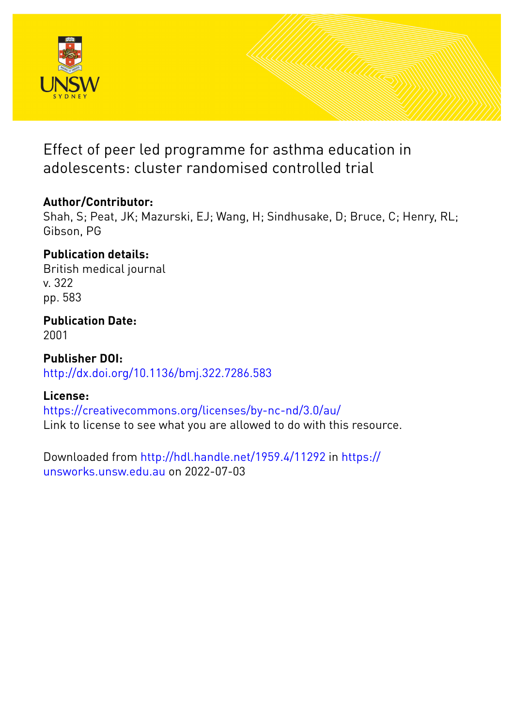

Effect of peer led programme for asthma education in adolescents: cluster randomised controlled trial

## **Author/Contributor:**

Shah, S; Peat, JK; Mazurski, EJ; Wang, H; Sindhusake, D; Bruce, C; Henry, RL; Gibson, PG

## **Publication details:**

British medical journal v. 322 pp. 583

**Publication Date:** 2001

**Publisher DOI:** [http://dx.doi.org/10.1136/bmj.322.7286.583](http://dx.doi.org/http://dx.doi.org/10.1136/bmj.322.7286.583)

## **License:**

<https://creativecommons.org/licenses/by-nc-nd/3.0/au/> Link to license to see what you are allowed to do with this resource.

Downloaded from <http://hdl.handle.net/1959.4/11292> in [https://](https://unsworks.unsw.edu.au) [unsworks.unsw.edu.au](https://unsworks.unsw.edu.au) on 2022-07-03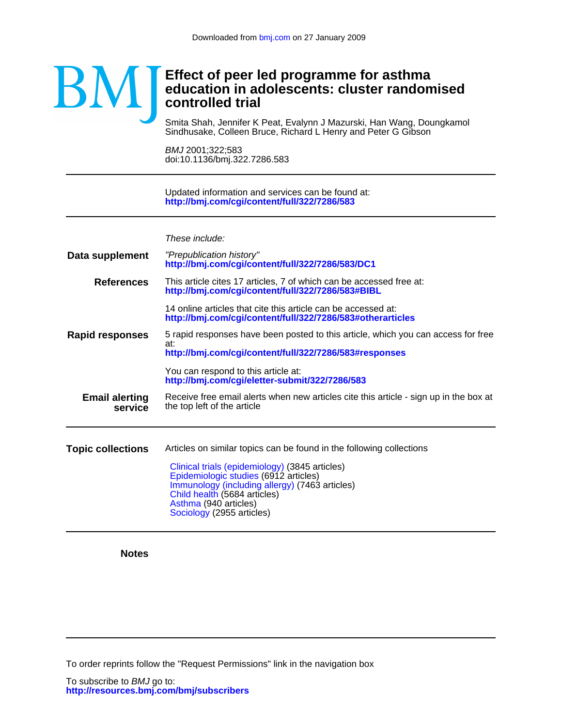

### **controlled trial education in adolescents: cluster randomised Effect of peer led programme for asthma**

Sindhusake, Colleen Bruce, Richard L Henry and Peter G Gibson Smita Shah, Jennifer K Peat, Evalynn J Mazurski, Han Wang, Doungkamol

doi:10.1136/bmj.322.7286.583 BMJ 2001;322;583

**<http://bmj.com/cgi/content/full/322/7286/583>** Updated information and services can be found at:

These include:

| Data supplement                  | "Prepublication history"<br>http://bmj.com/cgi/content/full/322/7286/583/DC1                                                                                                                                                    |
|----------------------------------|---------------------------------------------------------------------------------------------------------------------------------------------------------------------------------------------------------------------------------|
| <b>References</b>                | This article cites 17 articles, 7 of which can be accessed free at:<br>http://bmj.com/cgi/content/full/322/7286/583#BIBL                                                                                                        |
|                                  | 14 online articles that cite this article can be accessed at:<br>http://bmj.com/cgi/content/full/322/7286/583#otherarticles                                                                                                     |
| <b>Rapid responses</b>           | 5 rapid responses have been posted to this article, which you can access for free<br>at:                                                                                                                                        |
|                                  | http://bmj.com/cgi/content/full/322/7286/583#responses                                                                                                                                                                          |
|                                  | You can respond to this article at:<br>http://bmj.com/cgi/eletter-submit/322/7286/583                                                                                                                                           |
| <b>Email alerting</b><br>service | Receive free email alerts when new articles cite this article - sign up in the box at<br>the top left of the article                                                                                                            |
| <b>Topic collections</b>         | Articles on similar topics can be found in the following collections                                                                                                                                                            |
|                                  | Clinical trials (epidemiology) (3845 articles)<br>Epidemiologic studies (6912 articles)<br>Immunology (including allergy) (7463 articles)<br>Child health (5684 articles)<br>Asthma (940 articles)<br>Sociology (2955 articles) |

**Notes**

To order reprints follow the "Request Permissions" link in the navigation box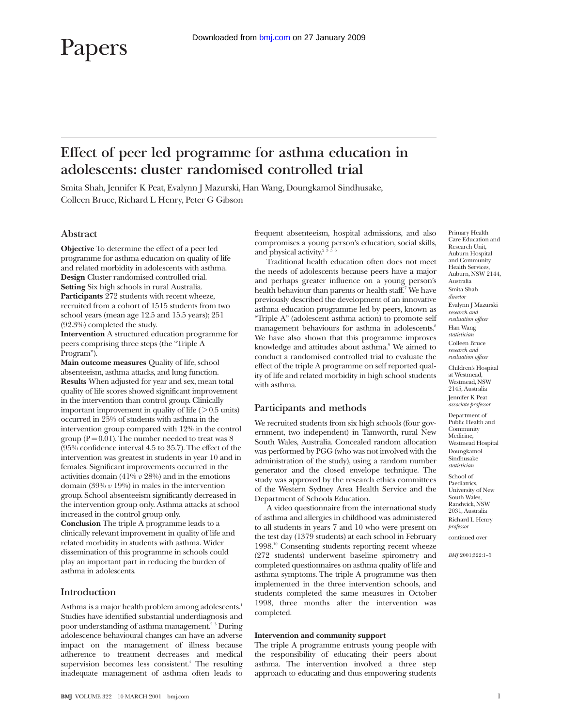# Papers

## **Effect of peer led programme for asthma education in adolescents: cluster randomised controlled trial**

Smita Shah, Jennifer K Peat, Evalynn J Mazurski, Han Wang, Doungkamol Sindhusake, Colleen Bruce, Richard L Henry, Peter G Gibson

#### **Abstract**

**Objective** To determine the effect of a peer led programme for asthma education on quality of life and related morbidity in adolescents with asthma. **Design** Cluster randomised controlled trial. **Setting** Six high schools in rural Australia. **Participants** 272 students with recent wheeze, recruited from a cohort of 1515 students from two school years (mean age 12.5 and 15.5 years); 251 (92.3%) completed the study.

**Intervention** A structured education programme for peers comprising three steps (the "Triple A Program").

**Main outcome measures** Quality of life, school absenteeism, asthma attacks, and lung function. **Results** When adjusted for year and sex, mean total quality of life scores showed significant improvement in the intervention than control group. Clinically important improvement in quality of life  $($  > 0.5 units) occurred in 25% of students with asthma in the intervention group compared with 12% in the control group ( $P = 0.01$ ). The number needed to treat was 8 (95% confidence interval 4.5 to 35.7). The effect of the intervention was greatest in students in year 10 and in females. Significant improvements occurred in the activities domain (41% *v* 28%) and in the emotions domain (39% *v* 19%) in males in the intervention group. School absenteeism significantly decreased in the intervention group only. Asthma attacks at school increased in the control group only. **Conclusion** The triple A programme leads to a clinically relevant improvement in quality of life and related morbidity in students with asthma. Wider dissemination of this programme in schools could play an important part in reducing the burden of

#### **Introduction**

asthma in adolescents.

Asthma is a major health problem among adolescents.<sup>1</sup> Studies have identified substantial underdiagnosis and poor understanding of asthma management.<sup>2 3</sup> During adolescence behavioural changes can have an adverse impact on the management of illness because adherence to treatment decreases and medical supervision becomes less consistent.<sup>4</sup> The resulting inadequate management of asthma often leads to

frequent absenteeism, hospital admissions, and also compromises a young person's education, social skills, and physical activity.<sup>23</sup>

Traditional health education often does not meet the needs of adolescents because peers have a major and perhaps greater influence on a young person's health behaviour than parents or health staff.<sup>7</sup> We have previously described the development of an innovative asthma education programme led by peers, known as "Triple A" (adolescent asthma action) to promote self management behaviours for asthma in adolescents.<sup>8</sup> We have also shown that this programme improves knowledge and attitudes about asthma.<sup>9</sup> We aimed to conduct a randomised controlled trial to evaluate the effect of the triple A programme on self reported quality of life and related morbidity in high school students with asthma.

#### **Participants and methods**

We recruited students from six high schools (four government, two independent) in Tamworth, rural New South Wales, Australia. Concealed random allocation was performed by PGG (who was not involved with the administration of the study), using a random number generator and the closed envelope technique. The study was approved by the research ethics committees of the Western Sydney Area Health Service and the Department of Schools Education.

A video questionnaire from the international study of asthma and allergies in childhood was administered to all students in years 7 and 10 who were present on the test day (1379 students) at each school in February 1998.<sup>10</sup> Consenting students reporting recent wheeze (272 students) underwent baseline spirometry and completed questionnaires on asthma quality of life and asthma symptoms. The triple A programme was then implemented in the three intervention schools, and students completed the same measures in October 1998, three months after the intervention was completed.

#### **Intervention and community support**

The triple A programme entrusts young people with the responsibility of educating their peers about asthma. The intervention involved a three step approach to educating and thus empowering students

Care Education and Research Unit, Auburn Hospital and Community Health Services, Auburn, NSW 2144, Australia Smita Shah *director* Evalynn J Mazurski *research and evaluation officer* Han Wang *statistician* Colleen Bruce *research and evaluation officer* Children's Hospital at Westmead, Westmead, NSW 2145, Australia

Primary Health

*associate professor* Department of Public Health and Community Medicine, Westmead Hospital Doungkamol Sindhusake *statistician*

Jennifer K Peat

School of Paediatrics, University of New South Wales, Randwick, NSW 2031, Australia Richard L Henry *professor* continued over

*BMJ* 2001;322:1–5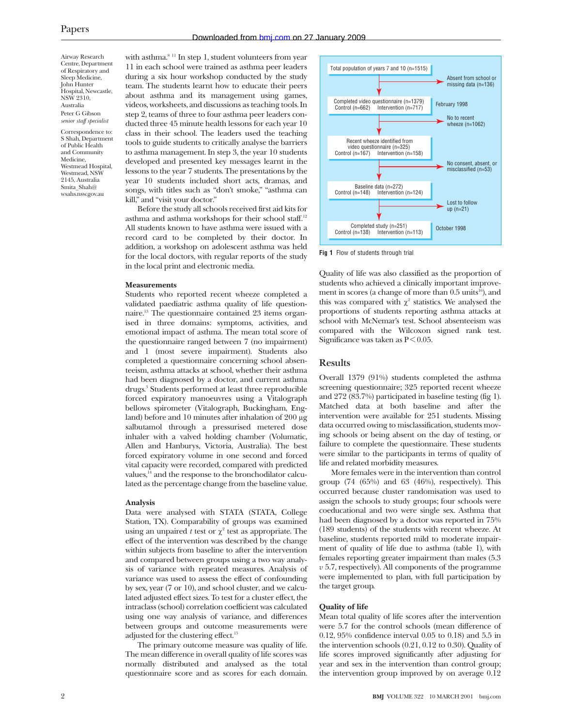Airway Research Centre, Department of Respiratory and Sleep Medicine, John Hunter Hospital, Newcastle, NSW 2310, Australia Peter G Gibson *senior staff specialist*

Correspondence to: S Shah, Department of Public Health and Community Medicine, Westmead Hospital, Westmead, NSW 2145, Australia Smita\_Shah@ wsahs.nsw.gov.au

with asthma. $8<sup>11</sup>$  In step 1, student volunteers from year 11 in each school were trained as asthma peer leaders during a six hour workshop conducted by the study team. The students learnt how to educate their peers about asthma and its management using games, videos, worksheets, and discussions as teaching tools. In step 2, teams of three to four asthma peer leaders conducted three 45 minute health lessons for each year 10 class in their school. The leaders used the teaching tools to guide students to critically analyse the barriers to asthma management. In step 3, the year 10 students developed and presented key messages learnt in the lessons to the year 7 students. The presentations by the year 10 students included short acts, dramas, and songs, with titles such as "don't smoke," "asthma can kill," and "visit your doctor."

Before the study all schools received first aid kits for asthma and asthma workshops for their school staff.<sup>12</sup> All students known to have asthma were issued with a record card to be completed by their doctor. In addition, a workshop on adolescent asthma was held for the local doctors, with regular reports of the study in the local print and electronic media.

#### **Measurements**

Students who reported recent wheeze completed a validated paediatric asthma quality of life questionnaire.13 The questionnaire contained 23 items organised in three domains: symptoms, activities, and emotional impact of asthma. The mean total score of the questionnaire ranged between 7 (no impairment) and 1 (most severe impairment). Students also completed a questionnaire concerning school absenteeism, asthma attacks at school, whether their asthma had been diagnosed by a doctor, and current asthma drugs.3 Students performed at least three reproducible forced expiratory manoeuvres using a Vitalograph bellows spirometer (Vitalograph, Buckingham, England) before and 10 minutes after inhalation of  $200 \mu g$ salbutamol through a pressurised metered dose inhaler with a valved holding chamber (Volumatic, Allen and Hanburys, Victoria, Australia). The best forced expiratory volume in one second and forced vital capacity were recorded, compared with predicted values, $14$  and the response to the bronchodilator calculated as the percentage change from the baseline value.

#### **Analysis**

Data were analysed with STATA (STATA, College Station, TX). Comparability of groups was examined using an unpaired *t* test or  $\chi^2$  test as appropriate. The effect of the intervention was described by the change within subjects from baseline to after the intervention and compared between groups using a two way analysis of variance with repeated measures. Analysis of variance was used to assess the effect of confounding by sex, year (7 or 10), and school cluster, and we calculated adjusted effect sizes. To test for a cluster effect, the intraclass (school) correlation coefficient was calculated using one way analysis of variance, and differences between groups and outcome measurements were adjusted for the clustering effect.<sup>15</sup>

The primary outcome measure was quality of life. The mean difference in overall quality of life scores was normally distributed and analysed as the total questionnaire score and as scores for each domain.



**Fig 1** Flow of students through trial

Quality of life was also classified as the proportion of students who achieved a clinically important improvement in scores (a change of more than  $0.5$  units<sup>16</sup>), and this was compared with  $\chi^2$  statistics. We analysed the proportions of students reporting asthma attacks at school with McNemar's test. School absenteeism was compared with the Wilcoxon signed rank test. Significance was taken as  $P \leq 0.05$ .

#### **Results**

Overall 1379 (91%) students completed the asthma screening questionnaire; 325 reported recent wheeze and 272 (83.7%) participated in baseline testing (fig 1). Matched data at both baseline and after the intervention were available for 251 students. Missing data occurred owing to misclassification, students moving schools or being absent on the day of testing, or failure to complete the questionnaire. These students were similar to the participants in terms of quality of life and related morbidity measures.

More females were in the intervention than control group  $(74 \ (65\%)$  and  $63 \ (46\%)$ , respectively). This occurred because cluster randomisation was used to assign the schools to study groups; four schools were coeducational and two were single sex. Asthma that had been diagnosed by a doctor was reported in 75% (189 students) of the students with recent wheeze. At baseline, students reported mild to moderate impairment of quality of life due to asthma (table 1), with females reporting greater impairment than males (5.3 *v* 5.7, respectively). All components of the programme were implemented to plan, with full participation by the target group.

#### **Quality of life**

Mean total quality of life scores after the intervention were 5.7 for the control schools (mean difference of 0.12, 95% confidence interval 0.05 to 0.18) and 5.5 in the intervention schools (0.21, 0.12 to 0.30). Quality of life scores improved significantly after adjusting for year and sex in the intervention than control group; the intervention group improved by on average 0.12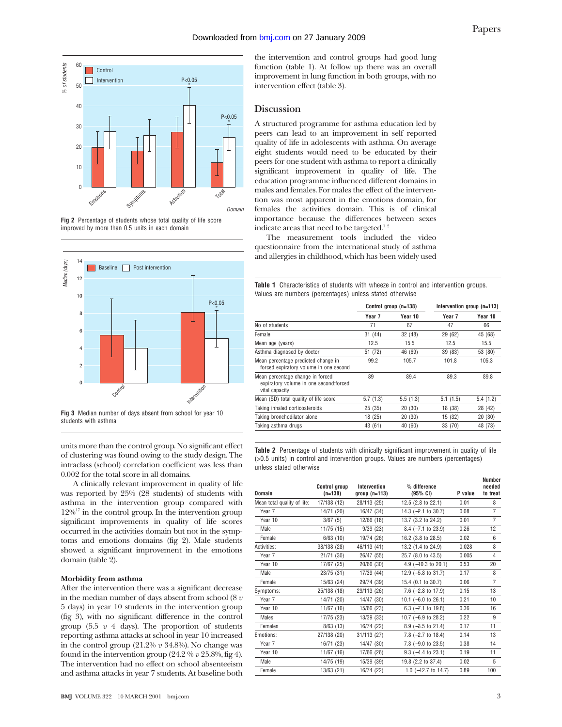

**Fig 2** Percentage of students whose total quality of life score improved by more than 0.5 units in each domain



**Fig 3** Median number of days absent from school for year 10 students with asthma

units more than the control group. No significant effect of clustering was found owing to the study design. The intraclass (school) correlation coefficient was less than 0.002 for the total score in all domains.

A clinically relevant improvement in quality of life was reported by 25% (28 students) of students with asthma in the intervention group compared with  $12\%$ <sup>17</sup> in the control group. In the intervention group significant improvements in quality of life scores occurred in the activities domain but not in the symptoms and emotions domains (fig 2). Male students showed a significant improvement in the emotions domain (table 2).

#### **Morbidity from asthma**

After the intervention there was a significant decrease in the median number of days absent from school (8 *v* 5 days) in year 10 students in the intervention group (fig 3), with no significant difference in the control group (5.5  $v$  4 days). The proportion of students reporting asthma attacks at school in year 10 increased in the control group (21.2% *v* 34.8%). No change was found in the intervention group  $(24.2 % v 25.8\%, fig 4).$ The intervention had no effect on school absenteeism and asthma attacks in year 7 students. At baseline both the intervention and control groups had good lung function (table 1). At follow up there was an overall improvement in lung function in both groups, with no intervention effect (table 3).

#### **Discussion**

A structured programme for asthma education led by peers can lead to an improvement in self reported quality of life in adolescents with asthma. On average eight students would need to be educated by their peers for one student with asthma to report a clinically significant improvement in quality of life. The education programme influenced different domains in males and females. For males the effect of the intervention was most apparent in the emotions domain, for females the activities domain. This is of clinical importance because the differences between sexes indicate areas that need to be targeted.<sup>12</sup>

The measurement tools included the video questionnaire from the international study of asthma and allergies in childhood, which has been widely used

**Table 1** Characteristics of students with wheeze in control and intervention groups. Values are numbers (percentages) unless stated otherwise

|                                                                                               | Control group (n=138) |          | Intervention group (n=113) |          |
|-----------------------------------------------------------------------------------------------|-----------------------|----------|----------------------------|----------|
|                                                                                               | Year 7                | Year 10  | Year 7                     | Year 10  |
| No of students                                                                                | 71                    | 67       | 47                         | 66       |
| Female                                                                                        | 31(44)                | 32 (48)  | 29 (62)                    | 45 (68)  |
| Mean age (years)                                                                              | 12.5                  | 15.5     | 12.5                       | 15.5     |
| Asthma diagnosed by doctor                                                                    | 51 (72)               | 46 (69)  | 39 (83)                    | 53 (80)  |
| Mean percentage predicted change in<br>forced expiratory volume in one second                 | 99.2                  | 105.7    | 101.8                      | 105.3    |
| Mean percentage change in forced<br>expiratory volume in one second: forced<br>vital capacity | 89                    | 89.4     | 89.3                       | 89.8     |
| Mean (SD) total quality of life score                                                         | 5.7(1.3)              | 5.5(1.3) | 5.1(1.5)                   | 5.4(1.2) |
| Taking inhaled corticosteroids                                                                | 25(35)                | 20(30)   | 18 (38)                    | 28 (42)  |
| Taking bronchodilator alone                                                                   | 18 (25)               | 20(30)   | 15 (32)                    | 20(30)   |
| Taking asthma drugs                                                                           | 43 (61)               | 40 (60)  | 33 (70)                    | 48 (73)  |

**Table 2** Percentage of students with clinically significant improvement in quality of life (>0.5 units) in control and intervention groups. Values are numbers (percentages) unless stated otherwise

| Domain                      | Control group<br>$(n=138)$ | Intervention<br>group $(n=113)$ | % difference<br>(95% CI)       | P value | Number<br>needed<br>to treat |
|-----------------------------|----------------------------|---------------------------------|--------------------------------|---------|------------------------------|
| Mean total quality of life: | 17/138 (12)                | 28/113 (25)                     | 12.5 (2.8 to 22.1)             | 0.01    | 8                            |
| Year 7                      | 14/71 (20)                 | 16/47 (34)                      | 14.3 $(-2.1$ to 30.7)          | 0.08    | $\overline{7}$               |
| Year 10                     | 3/67(5)                    | $12/66$ (18)                    | 13.7 (3.2 to 24.2)             | 0.01    | 7                            |
| Male                        | 11/75 (15)                 | 9/39(23)                        | $8.4$ (-7.1 to 23.9)           | 0.26    | 12                           |
| Female                      | 6/63(10)                   | 19/74 (26)                      | 16.2 (3.8 to 28.5)             | 0.02    | 6                            |
| Activities:                 | 38/138 (28)                | 46/113 (41)                     | 13.2 (1.4 to 24.9)             | 0.028   | 8                            |
| Year 7                      | 21/71 (30)                 | 26/47 (55)                      | 25.7 (8.0 to 43.5)             | 0.005   | 4                            |
| Year 10                     | 17/67 (25)                 | 20/66 (30)                      | 4.9 $(-10.3$ to 20.1)          | 0.53    | 20                           |
| Male                        | 23/75 (31)                 | 17/39 (44)                      | 12.9 $(-5.8 \text{ to } 31.7)$ | 0.17    | 8                            |
| Female                      | 15/63 (24)                 | 29/74 (39)                      | 15.4 (0.1 to 30.7)             | 0.06    | 7                            |
| Symptoms:                   | 25/138 (18)                | 29/113 (26)                     | $7.6$ (-2.8 to 17.9)           | 0.15    | 13                           |
| Year 7                      | 14/71 (20)                 | 14/47 (30)                      | 10.1 $(-6.0 \text{ to } 26.1)$ | 0.21    | 10                           |
| Year 10                     | 11/67 (16)                 | 15/66 (23)                      | $6.3$ ( $-7.1$ to 19.8)        | 0.36    | 16                           |
| Males                       | 17/75 (23)                 | 13/39 (33)                      | 10.7 (-6.9 to 28.2)            | 0.22    | 9                            |
| Females                     | 8/63(13)                   | 16/74 (22)                      | $8.9$ (-3.5 to 21.4)           | 0.17    | 11                           |
| Emotions:                   | 27/138 (20)                | 31/113 (27)                     | $7.8$ (-2.7 to 18.4)           | 0.14    | 13                           |
| Year 7                      | 16/71 (23)                 | 14/47 (30)                      | $7.3$ (-9.0 to 23.5)           | 0.38    | 14                           |
| Year 10                     | 11/67 (16)                 | 17/66 (26)                      | $9.3$ (-4.4 to 23.1)           | 0.19    | 11                           |
| Male                        | 14/75 (19)                 | 15/39 (39)                      | 19.8 (2.2 to 37.4)             | 0.02    | 5                            |
| Female                      | 13/63 (21)                 | 16/74 (22)                      | 1.0 $(-12.7$ to 14.7)          | 0.89    | 100                          |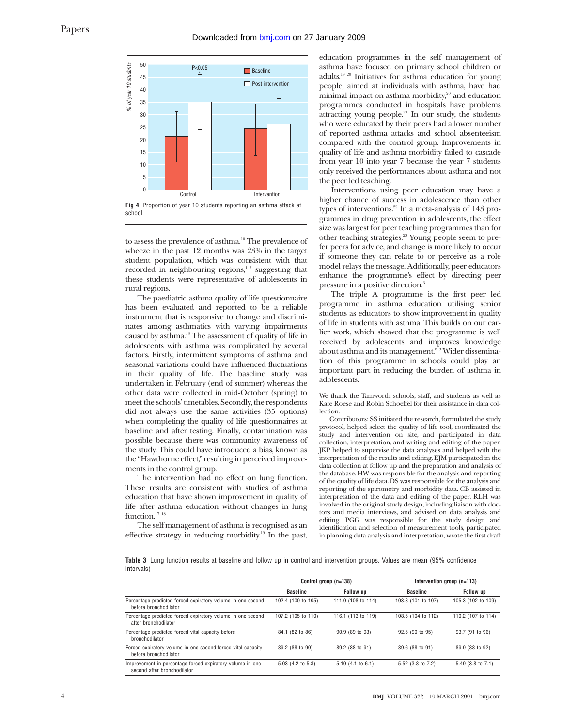

**Fig 4** Proportion of year 10 students reporting an asthma attack at school

to assess the prevalence of asthma.<sup>10</sup> The prevalence of wheeze in the past 12 months was 23% in the target student population, which was consistent with that recorded in neighbouring regions, $1<sup>3</sup>$  suggesting that these students were representative of adolescents in rural regions.

The paediatric asthma quality of life questionnaire has been evaluated and reported to be a reliable instrument that is responsive to change and discriminates among asthmatics with varying impairments caused by asthma.<sup>13</sup> The assessment of quality of life in adolescents with asthma was complicated by several factors. Firstly, intermittent symptoms of asthma and seasonal variations could have influenced fluctuations in their quality of life. The baseline study was undertaken in February (end of summer) whereas the other data were collected in mid-October (spring) to meet the schools' timetables. Secondly, the respondents did not always use the same activities (35 options) when completing the quality of life questionnaires at baseline and after testing. Finally, contamination was possible because there was community awareness of the study. This could have introduced a bias, known as the "Hawthorne effect," resulting in perceived improvements in the control group.

The intervention had no effect on lung function. These results are consistent with studies of asthma education that have shown improvement in quality of life after asthma education without changes in lung function.<sup>17</sup> <sup>18</sup>

The self management of asthma is recognised as an effective strategy in reducing morbidity.19 In the past,

education programmes in the self management of asthma have focused on primary school children or adults.19 20 Initiatives for asthma education for young people, aimed at individuals with asthma, have had minimal impact on asthma morbidity, $20$  and education programmes conducted in hospitals have problems attracting young people. $21$  In our study, the students who were educated by their peers had a lower number of reported asthma attacks and school absenteeism compared with the control group. Improvements in quality of life and asthma morbidity failed to cascade from year 10 into year 7 because the year 7 students only received the performances about asthma and not the peer led teaching.

Interventions using peer education may have a higher chance of success in adolescence than other types of interventions.<sup>22</sup> In a meta-analysis of 143 programmes in drug prevention in adolescents, the effect size was largest for peer teaching programmes than for other teaching strategies.<sup>23</sup> Young people seem to prefer peers for advice, and change is more likely to occur if someone they can relate to or perceive as a role model relays the message. Additionally, peer educators enhance the programme's effect by directing peer pressure in a positive direction.6

The triple A programme is the first peer led programme in asthma education utilising senior students as educators to show improvement in quality of life in students with asthma. This builds on our earlier work, which showed that the programme is well received by adolescents and improves knowledge about asthma and its management.<sup>8 9</sup> Wider dissemination of this programme in schools could play an important part in reducing the burden of asthma in adolescents.

We thank the Tamworth schools, staff, and students as well as Kate Roese and Robin Schoeffel for their assistance in data col**lection** 

Contributors: SS initiated the research, formulated the study protocol, helped select the quality of life tool, coordinated the study and intervention on site, and participated in data collection, interpretation, and writing and editing of the paper. JKP helped to supervise the data analyses and helped with the interpretation of the results and editing. EJM participated in the data collection at follow up and the preparation and analysis of the database. HW was responsible for the analysis and reporting of the quality of life data. DS was responsible for the analysis and reporting of the spirometry and morbidity data. CB assisted in interpretation of the data and editing of the paper. RLH was involved in the original study design, including liaison with doctors and media interviews, and advised on data analysis and editing. PGG was responsible for the study design and identification and selection of measurement tools, participated in planning data analysis and interpretation, wrote the first draft

**Table 3** Lung function results at baseline and follow up in control and intervention groups. Values are mean (95% confidence intervals)

|                                                                                          | Control group (n=138) |                     | Intervention group $(n=113)$ |                    |
|------------------------------------------------------------------------------------------|-----------------------|---------------------|------------------------------|--------------------|
|                                                                                          | <b>Baseline</b>       | Follow up           | <b>Baseline</b>              | Follow up          |
| Percentage predicted forced expiratory volume in one second<br>before bronchodilator     | 102.4 (100 to 105)    | 111.0 (108 to 114)  | 103.8 (101 to 107)           | 105.3 (102 to 109) |
| Percentage predicted forced expiratory volume in one second<br>after bronchodilator      | 107.2 (105 to 110)    | 116.1 (113 to 119)  | 108.5 (104 to 112)           | 110.2 (107 to 114) |
| Percentage predicted forced vital capacity before<br>bronchodilator                      | 84.1 (82 to 86)       | 90.9 (89 to 93)     | 92.5 (90 to 95)              | 93.7 (91 to 96)    |
| Forced expiratory volume in one second: forced vital capacity<br>before bronchodilator   | 89.2 (88 to 90)       | 89.2 (88 to 91)     | 89.6 (88 to 91)              | 89.9 (88 to 92)    |
| Improvement in percentage forced expiratory volume in one<br>second after bronchodilator | 5.03 (4.2 to 5.8)     | $5.10$ (4.1 to 6.1) | 5.52 (3.8 to 7.2)            | 5.49 (3.8 to 7.1)  |